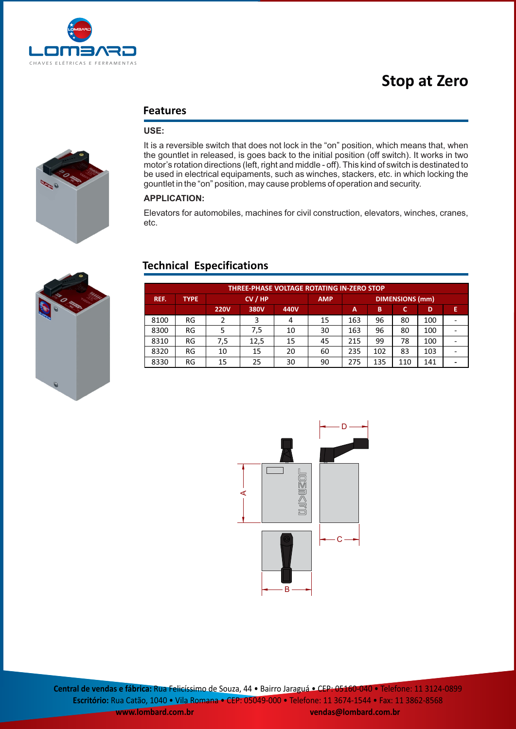

# **Stop at Zero**

# **Features**

# **USE:**

It is a reversible switch that does not lock in the "on" position, which means that, when the gountlet in released, is goes back to the initial position (off switch). It works in two motor's rotation directions (left, right and middle - off). This kind of switch is destinated to be used in electrical equipaments, such as winches, stackers, etc. in which locking the gountlet in the "on" position, may cause problems of operation and security.

### **APPLICATION:**

Elevators for automobiles, machines for civil construction, elevators, winches, cranes, etc.

# **Technical Especifications**

| <b>THREE-PHASE VOLTAGE ROTATING IN-ZERO STOP</b> |             |             |      |      |            |                        |     |     |     |   |
|--------------------------------------------------|-------------|-------------|------|------|------------|------------------------|-----|-----|-----|---|
| REF.                                             | <b>TYPE</b> | CV / HP     |      |      | <b>AMP</b> | <b>DIMENSIONS (mm)</b> |     |     |     |   |
|                                                  |             | <b>220V</b> | 380V | 440V |            | A                      | B   | c   | D   | E |
| 8100                                             | RG          |             |      | 4    | 15         | 163                    | 96  | 80  | 100 |   |
| 8300                                             | RG          |             | 7,5  | 10   | 30         | 163                    | 96  | 80  | 100 |   |
| 8310                                             | RG          | 7.5         | 12,5 | 15   | 45         | 215                    | 99  | 78  | 100 |   |
| 8320                                             | RG          | 10          | 15   | 20   | 60         | 235                    | 102 | 83  | 103 |   |
| 8330                                             | RG          | 15          | 25   | 30   | 90         | 275                    | 135 | 110 | 141 |   |



**Central de vendas e fábrica:** Rua Felicíssimo de Souza, 44 • Bairro Jaraguá • CEP: 05160-040 • Telefone: 11 3124-0899 **Escritório:** Rua Catão, 1040 • Vila Romana • CEP: 05049-000 • Telefone: 11 3674-1544 • Fax: 11 3862-8568 **www.lombard.com.br vendas@lombard.com.br**